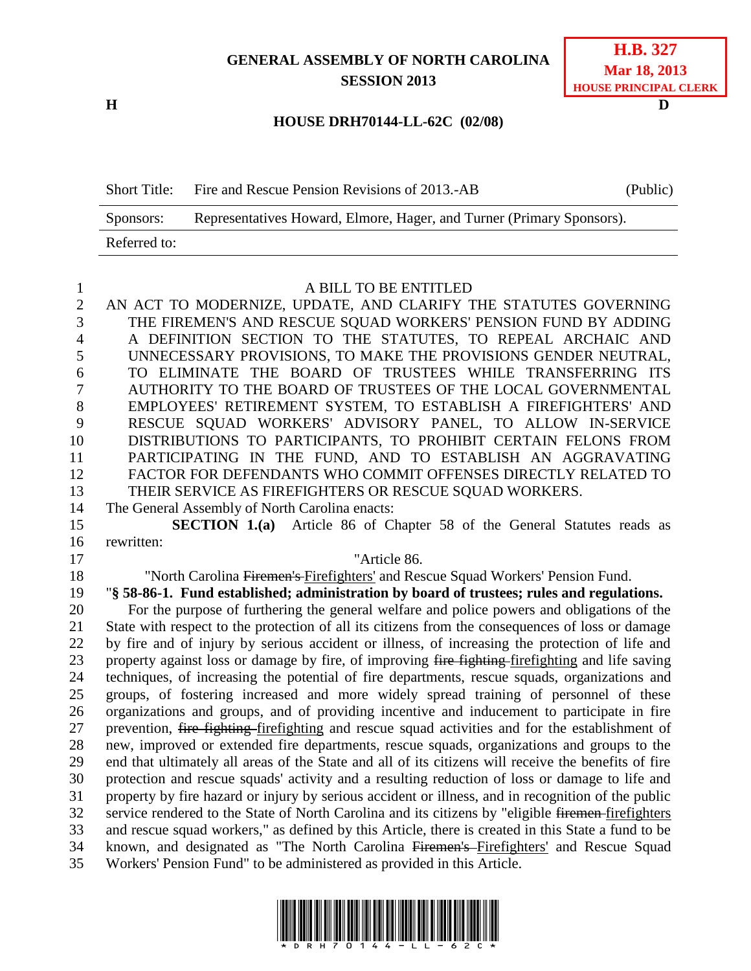# **GENERAL ASSEMBLY OF NORTH CAROLINA SESSION 2013**

| <b>H.B. 327</b>       |
|-----------------------|
| <b>Mar 18, 2013</b>   |
| HOUSE PRINCIPAL CLERK |

# **HOUSE DRH70144-LL-62C (02/08)**

| <b>Short Title:</b> | Fire and Rescue Pension Revisions of 2013.-AB                         | (Public) |
|---------------------|-----------------------------------------------------------------------|----------|
| Sponsors:           | Representatives Howard, Elmore, Hager, and Turner (Primary Sponsors). |          |
| Referred to:        |                                                                       |          |

#### A BILL TO BE ENTITLED

 AN ACT TO MODERNIZE, UPDATE, AND CLARIFY THE STATUTES GOVERNING THE FIREMEN'S AND RESCUE SQUAD WORKERS' PENSION FUND BY ADDING A DEFINITION SECTION TO THE STATUTES, TO REPEAL ARCHAIC AND UNNECESSARY PROVISIONS, TO MAKE THE PROVISIONS GENDER NEUTRAL, TO ELIMINATE THE BOARD OF TRUSTEES WHILE TRANSFERRING ITS AUTHORITY TO THE BOARD OF TRUSTEES OF THE LOCAL GOVERNMENTAL EMPLOYEES' RETIREMENT SYSTEM, TO ESTABLISH A FIREFIGHTERS' AND RESCUE SQUAD WORKERS' ADVISORY PANEL, TO ALLOW IN-SERVICE DISTRIBUTIONS TO PARTICIPANTS, TO PROHIBIT CERTAIN FELONS FROM PARTICIPATING IN THE FUND, AND TO ESTABLISH AN AGGRAVATING FACTOR FOR DEFENDANTS WHO COMMIT OFFENSES DIRECTLY RELATED TO THEIR SERVICE AS FIREFIGHTERS OR RESCUE SQUAD WORKERS.

The General Assembly of North Carolina enacts:

 **SECTION 1.(a)** Article 86 of Chapter 58 of the General Statutes reads as rewritten:

"Article 86.

"North Carolina Firemen's Firefighters' and Rescue Squad Workers' Pension Fund.

"**§ 58-86-1. Fund established; administration by board of trustees; rules and regulations.**

 For the purpose of furthering the general welfare and police powers and obligations of the State with respect to the protection of all its citizens from the consequences of loss or damage by fire and of injury by serious accident or illness, of increasing the protection of life and 23 property against loss or damage by fire, of improving fire fighting fire fighting and life saving techniques, of increasing the potential of fire departments, rescue squads, organizations and groups, of fostering increased and more widely spread training of personnel of these organizations and groups, and of providing incentive and inducement to participate in fire prevention, fire fighting firefighting and rescue squad activities and for the establishment of new, improved or extended fire departments, rescue squads, organizations and groups to the end that ultimately all areas of the State and all of its citizens will receive the benefits of fire protection and rescue squads' activity and a resulting reduction of loss or damage to life and property by fire hazard or injury by serious accident or illness, and in recognition of the public service rendered to the State of North Carolina and its citizens by "eligible firemen firefighters and rescue squad workers," as defined by this Article, there is created in this State a fund to be known, and designated as "The North Carolina Firemen's Firefighters' and Rescue Squad Workers' Pension Fund" to be administered as provided in this Article.



**H D**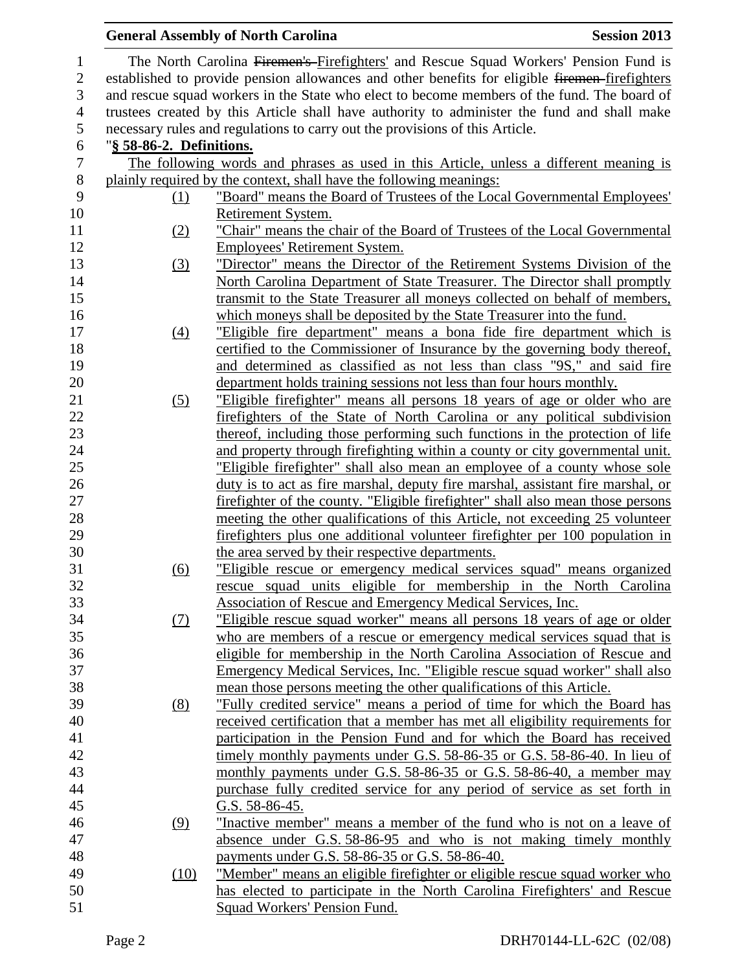|                  |                          | <b>General Assembly of North Carolina</b><br><b>Session 2013</b>                                                                                          |
|------------------|--------------------------|-----------------------------------------------------------------------------------------------------------------------------------------------------------|
| $\mathbf{1}$     |                          | The North Carolina Firemen's Firefighters' and Rescue Squad Workers' Pension Fund is                                                                      |
| $\mathbf{2}$     |                          | established to provide pension allowances and other benefits for eligible firemen-firefighters                                                            |
| $\mathfrak{Z}$   |                          | and rescue squad workers in the State who elect to become members of the fund. The board of                                                               |
| $\overline{4}$   |                          | trustees created by this Article shall have authority to administer the fund and shall make                                                               |
| 5                |                          | necessary rules and regulations to carry out the provisions of this Article.                                                                              |
| 6                | "§ 58-86-2. Definitions. |                                                                                                                                                           |
| $\boldsymbol{7}$ |                          | The following words and phrases as used in this Article, unless a different meaning is                                                                    |
| $8\,$            |                          | plainly required by the context, shall have the following meanings:                                                                                       |
| 9                | (1)                      | "Board" means the Board of Trustees of the Local Governmental Employees'                                                                                  |
| 10               |                          | Retirement System.                                                                                                                                        |
| 11               | (2)                      | "Chair" means the chair of the Board of Trustees of the Local Governmental                                                                                |
| 12               |                          | <b>Employees' Retirement System.</b>                                                                                                                      |
| 13               | (3)                      | "Director" means the Director of the Retirement Systems Division of the                                                                                   |
| 14               |                          | North Carolina Department of State Treasurer. The Director shall promptly                                                                                 |
| 15               |                          | transmit to the State Treasurer all moneys collected on behalf of members,                                                                                |
| 16               |                          | which moneys shall be deposited by the State Treasurer into the fund.                                                                                     |
| 17               | $\underline{(4)}$        | "Eligible fire department" means a bona fide fire department which is                                                                                     |
| 18               |                          | certified to the Commissioner of Insurance by the governing body thereof,                                                                                 |
| 19               |                          | and determined as classified as not less than class "9S," and said fire                                                                                   |
| 20               |                          | department holds training sessions not less than four hours monthly.                                                                                      |
| 21               | (5)                      | "Eligible firefighter" means all persons 18 years of age or older who are                                                                                 |
| 22               |                          | firefighters of the State of North Carolina or any political subdivision                                                                                  |
| 23               |                          | thereof, including those performing such functions in the protection of life                                                                              |
| 24               |                          | and property through firefighting within a county or city governmental unit.                                                                              |
| 25               |                          | "Eligible firefighter" shall also mean an employee of a county whose sole                                                                                 |
| 26               |                          | duty is to act as fire marshal, deputy fire marshal, assistant fire marshal, or                                                                           |
| 27               |                          | firefighter of the county. "Eligible firefighter" shall also mean those persons                                                                           |
| 28               |                          | meeting the other qualifications of this Article, not exceeding 25 volunteer                                                                              |
| 29               |                          | fire fighters plus one additional volunteer fire fighter per 100 population in                                                                            |
| 30               |                          | the area served by their respective departments.                                                                                                          |
| 31               | (6)                      | "Eligible rescue or emergency medical services squad" means organized                                                                                     |
| 32               |                          | rescue squad units eligible for membership in the North Carolina                                                                                          |
| 33               |                          | <b>Association of Rescue and Emergency Medical Services, Inc.</b>                                                                                         |
| 34               | $\Omega$                 | "Eligible rescue squad worker" means all persons 18 years of age or older                                                                                 |
| 35               |                          | who are members of a rescue or emergency medical services squad that is                                                                                   |
| 36               |                          | eligible for membership in the North Carolina Association of Rescue and                                                                                   |
| 37<br>38         |                          | <u>Emergency Medical Services, Inc. "Eligible rescue squad worker" shall also</u><br>mean those persons meeting the other qualifications of this Article. |
| 39               |                          | "Fully credited service" means a period of time for which the Board has                                                                                   |
| 40               | (8)                      | received certification that a member has met all eligibility requirements for                                                                             |
| 41               |                          | participation in the Pension Fund and for which the Board has received                                                                                    |
| 42               |                          | timely monthly payments under G.S. 58-86-35 or G.S. 58-86-40. In lieu of                                                                                  |
| 43               |                          | monthly payments under G.S. 58-86-35 or G.S. 58-86-40, a member may                                                                                       |
| 44               |                          | purchase fully credited service for any period of service as set forth in                                                                                 |
| 45               |                          | G.S. $58-86-45$ .                                                                                                                                         |
| 46               | (9)                      | "Inactive member" means a member of the fund who is not on a leave of                                                                                     |
| 47               |                          | absence under G.S. 58-86-95 and who is not making timely monthly                                                                                          |
| 48               |                          | payments under G.S. 58-86-35 or G.S. 58-86-40.                                                                                                            |
| 49               | (10)                     | "Member" means an eligible firefighter or eligible rescue squad worker who                                                                                |
| 50               |                          | has elected to participate in the North Carolina Firefighters' and Rescue                                                                                 |
| 51               |                          | Squad Workers' Pension Fund.                                                                                                                              |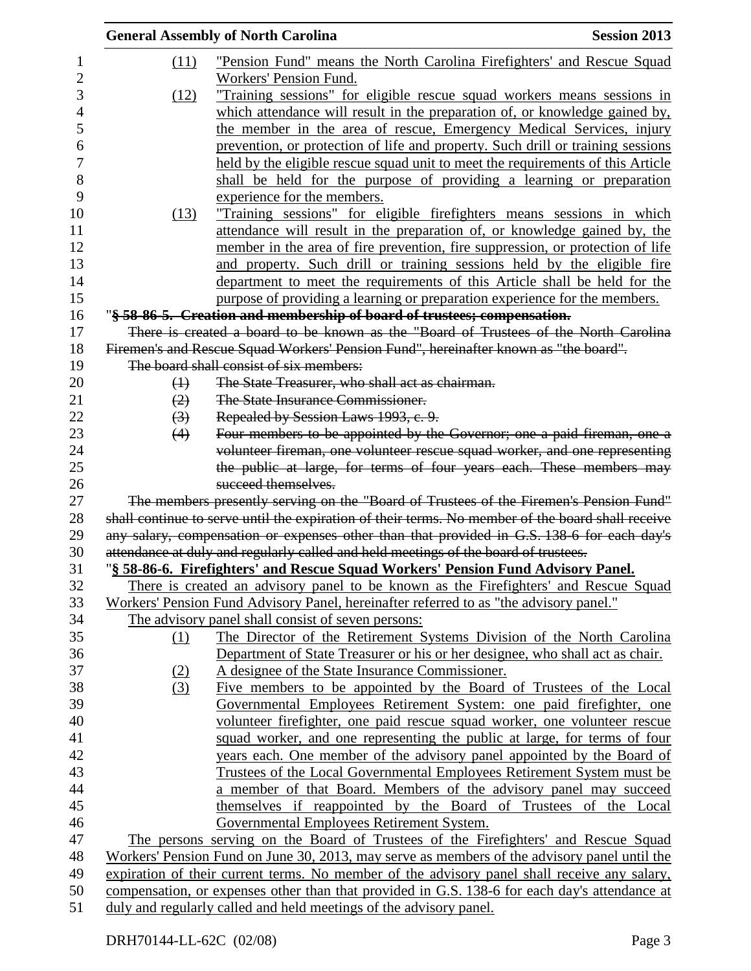|                   | <b>General Assembly of North Carolina</b>                                                         | <b>Session 2013</b> |
|-------------------|---------------------------------------------------------------------------------------------------|---------------------|
| (11)              | <u>"Pension Fund" means the North Carolina Firefighters' and Rescue Squad</u>                     |                     |
|                   | Workers' Pension Fund.                                                                            |                     |
| (12)              | "Training sessions" for eligible rescue squad workers means sessions in                           |                     |
|                   | which attendance will result in the preparation of, or knowledge gained by,                       |                     |
|                   | the member in the area of rescue, Emergency Medical Services, injury                              |                     |
|                   | prevention, or protection of life and property. Such drill or training sessions                   |                     |
|                   | held by the eligible rescue squad unit to meet the requirements of this Article                   |                     |
|                   | shall be held for the purpose of providing a learning or preparation                              |                     |
|                   | experience for the members.                                                                       |                     |
| (13)              | "Training sessions" for eligible firefighters means sessions in which                             |                     |
|                   | attendance will result in the preparation of, or knowledge gained by, the                         |                     |
|                   | member in the area of fire prevention, fire suppression, or protection of life                    |                     |
|                   | and property. Such drill or training sessions held by the eligible fire                           |                     |
|                   | department to meet the requirements of this Article shall be held for the                         |                     |
|                   | purpose of providing a learning or preparation experience for the members.                        |                     |
|                   | "§ 58-86-5. Creation and membership of board of trustees; compensation.                           |                     |
|                   | There is created a board to be known as the "Board of Trustees of the North Carolina"             |                     |
|                   | Firemen's and Rescue Squad Workers' Pension Fund", hereinafter known as "the board".              |                     |
|                   | The board shall consist of six members:                                                           |                     |
| $\leftrightarrow$ | The State Treasurer, who shall act as chairman.                                                   |                     |
| (2)               | The State Insurance Commissioner.                                                                 |                     |
| $\left(3\right)$  | Repealed by Session Laws 1993, c. 9.                                                              |                     |
| (4)               | Four members to be appointed by the Governor; one a paid fireman, one a                           |                     |
|                   | volunteer fireman, one volunteer rescue squad worker, and one representing                        |                     |
|                   | the public at large, for terms of four years each. These members may                              |                     |
|                   | succeed themselves.                                                                               |                     |
|                   | The members presently serving on the "Board of Trustees of the Firemen's Pension Fund"            |                     |
|                   | shall continue to serve until the expiration of their terms. No member of the board shall receive |                     |
|                   | any salary, compensation or expenses other than that provided in G.S. 138-6 for each day's        |                     |
|                   | attendance at duly and regularly called and held meetings of the board of trustees.               |                     |
|                   | "§ 58-86-6. Firefighters' and Rescue Squad Workers' Pension Fund Advisory Panel.                  |                     |
|                   | There is created an advisory panel to be known as the Firefighters' and Rescue Squad              |                     |
|                   | Workers' Pension Fund Advisory Panel, hereinafter referred to as "the advisory panel."            |                     |
|                   | The advisory panel shall consist of seven persons:                                                |                     |
| <u>(1)</u>        | The Director of the Retirement Systems Division of the North Carolina                             |                     |
|                   | Department of State Treasurer or his or her designee, who shall act as chair.                     |                     |
| (2)               | A designee of the State Insurance Commissioner.                                                   |                     |
| (3)               | Five members to be appointed by the Board of Trustees of the Local                                |                     |
|                   | Governmental Employees Retirement System: one paid firefighter, one                               |                     |
|                   | volunteer firefighter, one paid rescue squad worker, one volunteer rescue                         |                     |
|                   | squad worker, and one representing the public at large, for terms of four                         |                     |
|                   | years each. One member of the advisory panel appointed by the Board of                            |                     |
|                   | Trustees of the Local Governmental Employees Retirement System must be                            |                     |
|                   | a member of that Board. Members of the advisory panel may succeed                                 |                     |
|                   | themselves if reappointed by the Board of Trustees of the Local                                   |                     |
|                   | Governmental Employees Retirement System.                                                         |                     |
|                   | The persons serving on the Board of Trustees of the Firefighters' and Rescue Squad                |                     |
|                   | Workers' Pension Fund on June 30, 2013, may serve as members of the advisory panel until the      |                     |
|                   | expiration of their current terms. No member of the advisory panel shall receive any salary,      |                     |
|                   | compensation, or expenses other than that provided in G.S. 138-6 for each day's attendance at     |                     |
|                   | duly and regularly called and held meetings of the advisory panel.                                |                     |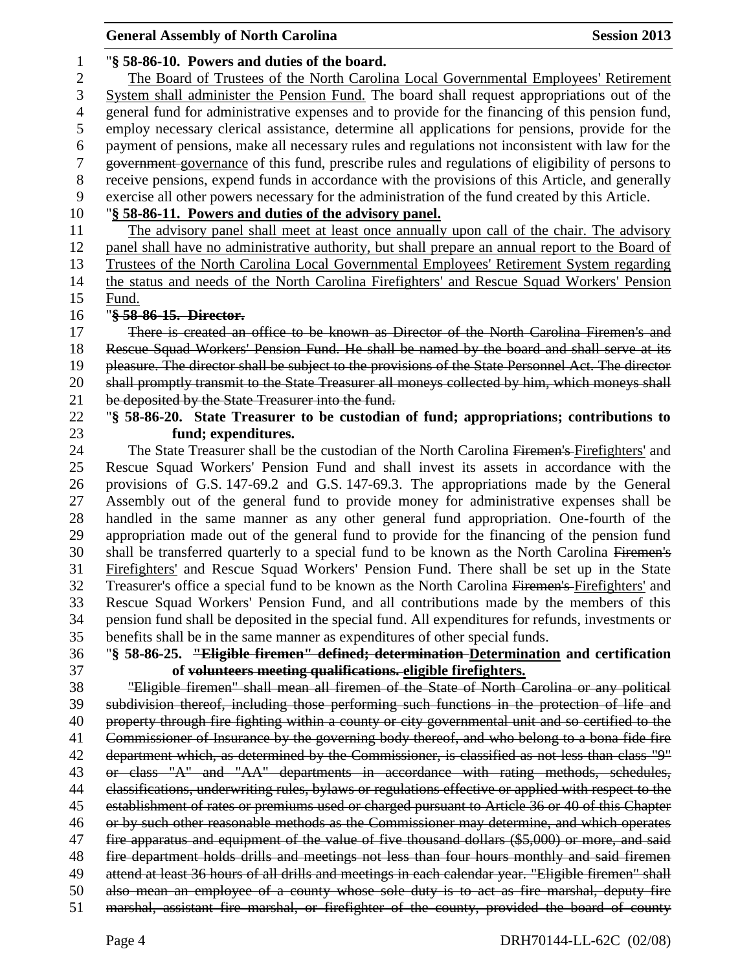| <b>General Assembly of North Carolina</b><br><b>Session 2013</b>                                    |
|-----------------------------------------------------------------------------------------------------|
| "§ 58-86-10. Powers and duties of the board.                                                        |
| The Board of Trustees of the North Carolina Local Governmental Employees' Retirement                |
| System shall administer the Pension Fund. The board shall request appropriations out of the         |
| general fund for administrative expenses and to provide for the financing of this pension fund,     |
| employ necessary clerical assistance, determine all applications for pensions, provide for the      |
| payment of pensions, make all necessary rules and regulations not inconsistent with law for the     |
| government-governance of this fund, prescribe rules and regulations of eligibility of persons to    |
| receive pensions, expend funds in accordance with the provisions of this Article, and generally     |
| exercise all other powers necessary for the administration of the fund created by this Article.     |
| "§ 58-86-11. Powers and duties of the advisory panel.                                               |
| The advisory panel shall meet at least once annually upon call of the chair. The advisory           |
| panel shall have no administrative authority, but shall prepare an annual report to the Board of    |
| Trustees of the North Carolina Local Governmental Employees' Retirement System regarding            |
|                                                                                                     |
| the status and needs of the North Carolina Firefighters' and Rescue Squad Workers' Pension<br>Fund. |
| "§ 58-86-15. Director.                                                                              |
| There is created an office to be known as Director of the North Carolina Firemen's and              |
| Rescue Squad Workers' Pension Fund. He shall be named by the board and shall serve at its           |
| pleasure. The director shall be subject to the provisions of the State Personnel Act. The director  |
| shall promptly transmit to the State Treasurer all moneys collected by him, which moneys shall      |
| be deposited by the State Treasurer into the fund.                                                  |
| "§ 58-86-20. State Treasurer to be custodian of fund; appropriations; contributions to              |
| fund; expenditures.                                                                                 |
| The State Treasurer shall be the custodian of the North Carolina Firemen's Firefighters' and        |
| Rescue Squad Workers' Pension Fund and shall invest its assets in accordance with the               |
| provisions of G.S. 147-69.2 and G.S. 147-69.3. The appropriations made by the General               |
| Assembly out of the general fund to provide money for administrative expenses shall be              |
| handled in the same manner as any other general fund appropriation. One-fourth of the               |
| appropriation made out of the general fund to provide for the financing of the pension fund         |
| shall be transferred quarterly to a special fund to be known as the North Carolina Firemen's        |
| Firefighters' and Rescue Squad Workers' Pension Fund. There shall be set up in the State            |
| Treasurer's office a special fund to be known as the North Carolina Firemen's Firefighters' and     |
|                                                                                                     |
| Rescue Squad Workers' Pension Fund, and all contributions made by the members of this               |
| pension fund shall be deposited in the special fund. All expenditures for refunds, investments or   |
| benefits shall be in the same manner as expenditures of other special funds.                        |
| "§ 58-86-25. "Eligible firemen" defined; determination-Determination and certification              |
| of volunteers meeting qualifications. eligible firefighters.                                        |
| "Eligible firemen" shall mean all firemen of the State of North Carolina or any political           |
| subdivision thereof, including those performing such functions in the protection of life and        |
| property through fire fighting within a county or city governmental unit and so certified to the    |
| Commissioner of Insurance by the governing body thereof, and who belong to a bona fide fire         |
| department which, as determined by the Commissioner, is classified as not less than class "9"       |
| or class "A" and "AA" departments in accordance with rating methods, schedules,                     |
| classifications, underwriting rules, bylaws or regulations effective or applied with respect to the |
| establishment of rates or premiums used or charged pursuant to Article 36 or 40 of this Chapter     |
| or by such other reasonable methods as the Commissioner may determine, and which operates           |
| fire apparatus and equipment of the value of five thousand dollars (\$5,000) or more, and said      |
| fire department holds drills and meetings not less than four hours monthly and said firemen         |
| attend at least 36 hours of all drills and meetings in each calendar year. "Eligible firemen" shall |
| also mean an employee of a county whose sole duty is to act as fire marshal, deputy fire            |
| marshal, assistant fire marshal, or firefighter of the county, provided the board of county         |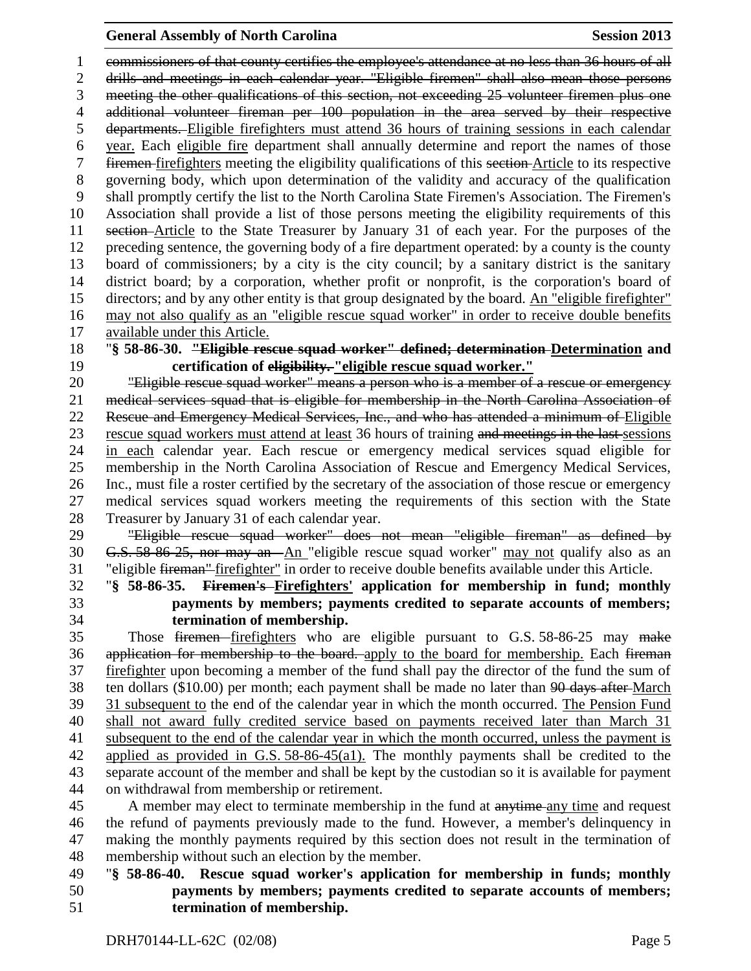## **General Assembly of North Carolina Session 2013**

 commissioners of that county certifies the employee's attendance at no less than 36 hours of all drills and meetings in each calendar year. "Eligible firemen" shall also mean those persons meeting the other qualifications of this section, not exceeding 25 volunteer firemen plus one additional volunteer fireman per 100 population in the area served by their respective departments. Eligible firefighters must attend 36 hours of training sessions in each calendar year. Each eligible fire department shall annually determine and report the names of those firemen firefighters meeting the eligibility qualifications of this section Article to its respective governing body, which upon determination of the validity and accuracy of the qualification shall promptly certify the list to the North Carolina State Firemen's Association. The Firemen's Association shall provide a list of those persons meeting the eligibility requirements of this section Article to the State Treasurer by January 31 of each year. For the purposes of the preceding sentence, the governing body of a fire department operated: by a county is the county board of commissioners; by a city is the city council; by a sanitary district is the sanitary district board; by a corporation, whether profit or nonprofit, is the corporation's board of directors; and by any other entity is that group designated by the board. An "eligible firefighter" may not also qualify as an "eligible rescue squad worker" in order to receive double benefits available under this Article.

 "**§ 58-86-30. "Eligible rescue squad worker" defined; determination Determination and certification of eligibility. "eligible rescue squad worker."**

 "Eligible rescue squad worker" means a person who is a member of a rescue or emergency medical services squad that is eligible for membership in the North Carolina Association of Rescue and Emergency Medical Services, Inc., and who has attended a minimum of Eligible rescue squad workers must attend at least 36 hours of training and meetings in the last sessions in each calendar year. Each rescue or emergency medical services squad eligible for membership in the North Carolina Association of Rescue and Emergency Medical Services, Inc., must file a roster certified by the secretary of the association of those rescue or emergency medical services squad workers meeting the requirements of this section with the State Treasurer by January 31 of each calendar year.

 "Eligible rescue squad worker" does not mean "eligible fireman" as defined by G.S. 58-86-25, nor may an An "eligible rescue squad worker" may not qualify also as an "eligible fireman" firefighter" in order to receive double benefits available under this Article.

 "**§ 58-86-35. Firemen's Firefighters' application for membership in fund; monthly payments by members; payments credited to separate accounts of members; termination of membership.**

 Those firemen firefighters who are eligible pursuant to G.S. 58-86-25 may make 36 application for membership to the board. apply to the board for membership. Each fireman firefighter upon becoming a member of the fund shall pay the director of the fund the sum of 38 ten dollars (\$10.00) per month; each payment shall be made no later than <del>90 days after March</del> 31 subsequent to the end of the calendar year in which the month occurred. The Pension Fund shall not award fully credited service based on payments received later than March 31 subsequent to the end of the calendar year in which the month occurred, unless the payment is applied as provided in G.S. 58-86-45(a1). The monthly payments shall be credited to the separate account of the member and shall be kept by the custodian so it is available for payment on withdrawal from membership or retirement.

45 A member may elect to terminate membership in the fund at anytime any time and request the refund of payments previously made to the fund. However, a member's delinquency in making the monthly payments required by this section does not result in the termination of membership without such an election by the member.

# "**§ 58-86-40. Rescue squad worker's application for membership in funds; monthly payments by members; payments credited to separate accounts of members; termination of membership.**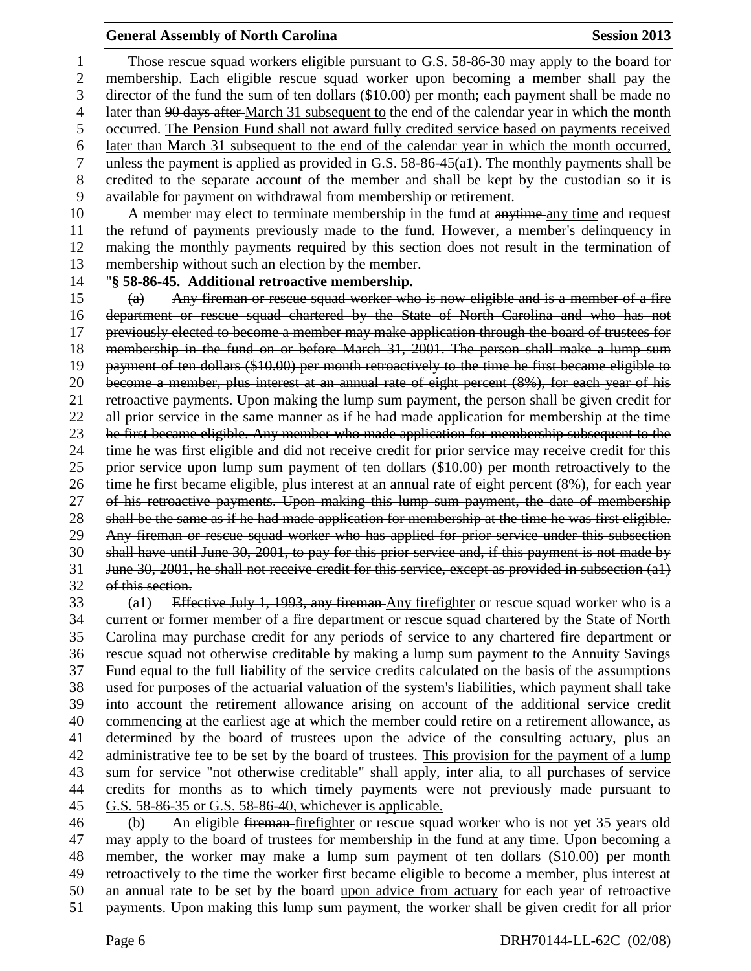# **General Assembly of North Carolina Session 2013**

 Those rescue squad workers eligible pursuant to G.S. 58-86-30 may apply to the board for membership. Each eligible rescue squad worker upon becoming a member shall pay the director of the fund the sum of ten dollars (\$10.00) per month; each payment shall be made no 4 later than 90 days after March 31 subsequent to the end of the calendar year in which the month occurred. The Pension Fund shall not award fully credited service based on payments received later than March 31 subsequent to the end of the calendar year in which the month occurred, unless the payment is applied as provided in G.S. 58-86-45(a1). The monthly payments shall be credited to the separate account of the member and shall be kept by the custodian so it is available for payment on withdrawal from membership or retirement.

10 A member may elect to terminate membership in the fund at anytime any time and request the refund of payments previously made to the fund. However, a member's delinquency in making the monthly payments required by this section does not result in the termination of membership without such an election by the member.

"**§ 58-86-45. Additional retroactive membership.**

 (a) Any fireman or rescue squad worker who is now eligible and is a member of a fire department or rescue squad chartered by the State of North Carolina and who has not previously elected to become a member may make application through the board of trustees for membership in the fund on or before March 31, 2001. The person shall make a lump sum payment of ten dollars (\$10.00) per month retroactively to the time he first became eligible to become a member, plus interest at an annual rate of eight percent (8%), for each year of his retroactive payments. Upon making the lump sum payment, the person shall be given credit for 22 all prior service in the same manner as if he had made application for membership at the time 23 he first became eligible. Any member who made application for membership subsequent to the time he was first eligible and did not receive credit for prior service may receive credit for this prior service upon lump sum payment of ten dollars (\$10.00) per month retroactively to the time he first became eligible, plus interest at an annual rate of eight percent (8%), for each year of his retroactive payments. Upon making this lump sum payment, the date of membership shall be the same as if he had made application for membership at the time he was first eligible. Any fireman or rescue squad worker who has applied for prior service under this subsection shall have until June 30, 2001, to pay for this prior service and, if this payment is not made by June 30, 2001, he shall not receive credit for this service, except as provided in subsection (a1) of this section.

33 (a1) Effective July 1, 1993, any fireman Any firefighter or rescue squad worker who is a current or former member of a fire department or rescue squad chartered by the State of North Carolina may purchase credit for any periods of service to any chartered fire department or rescue squad not otherwise creditable by making a lump sum payment to the Annuity Savings Fund equal to the full liability of the service credits calculated on the basis of the assumptions used for purposes of the actuarial valuation of the system's liabilities, which payment shall take into account the retirement allowance arising on account of the additional service credit commencing at the earliest age at which the member could retire on a retirement allowance, as determined by the board of trustees upon the advice of the consulting actuary, plus an administrative fee to be set by the board of trustees. This provision for the payment of a lump sum for service "not otherwise creditable" shall apply, inter alia, to all purchases of service credits for months as to which timely payments were not previously made pursuant to G.S. 58-86-35 or G.S. 58-86-40, whichever is applicable.

 (b) An eligible fireman firefighter or rescue squad worker who is not yet 35 years old may apply to the board of trustees for membership in the fund at any time. Upon becoming a member, the worker may make a lump sum payment of ten dollars (\$10.00) per month retroactively to the time the worker first became eligible to become a member, plus interest at an annual rate to be set by the board upon advice from actuary for each year of retroactive payments. Upon making this lump sum payment, the worker shall be given credit for all prior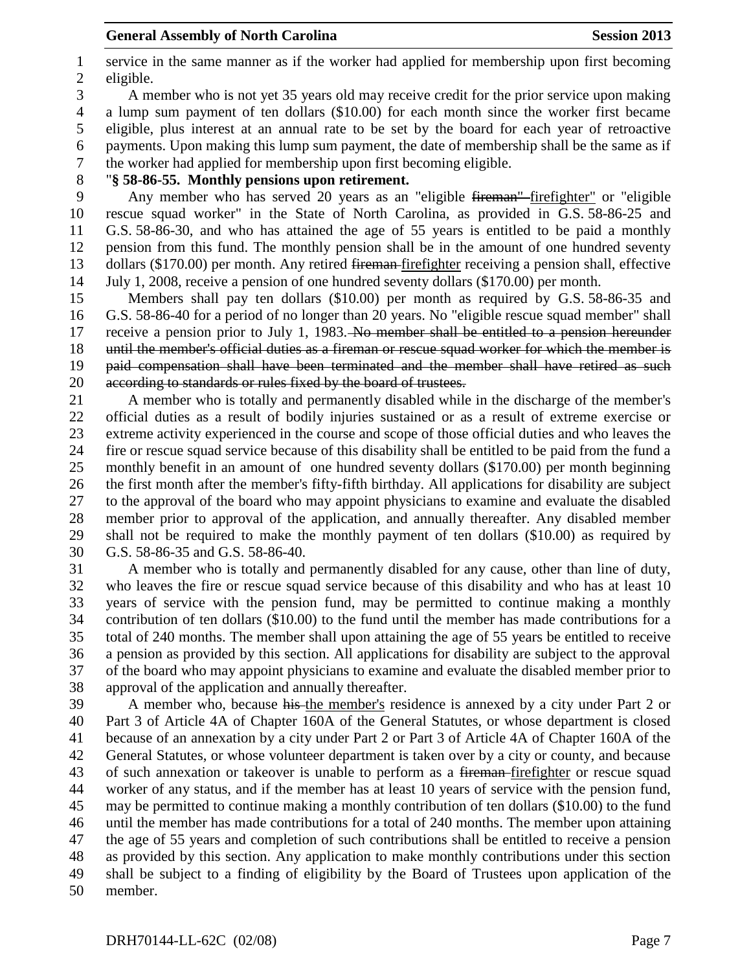service in the same manner as if the worker had applied for membership upon first becoming eligible.

 A member who is not yet 35 years old may receive credit for the prior service upon making a lump sum payment of ten dollars (\$10.00) for each month since the worker first became eligible, plus interest at an annual rate to be set by the board for each year of retroactive payments. Upon making this lump sum payment, the date of membership shall be the same as if the worker had applied for membership upon first becoming eligible.

"**§ 58-86-55. Monthly pensions upon retirement.**

 Any member who has served 20 years as an "eligible fireman" firefighter" or "eligible rescue squad worker" in the State of North Carolina, as provided in G.S. 58-86-25 and G.S. 58-86-30, and who has attained the age of 55 years is entitled to be paid a monthly pension from this fund. The monthly pension shall be in the amount of one hundred seventy dollars (\$170.00) per month. Any retired fireman firefighter receiving a pension shall, effective July 1, 2008, receive a pension of one hundred seventy dollars (\$170.00) per month.

 Members shall pay ten dollars (\$10.00) per month as required by G.S. 58-86-35 and G.S. 58-86-40 for a period of no longer than 20 years. No "eligible rescue squad member" shall 17 receive a pension prior to July 1, 1983. No member shall be entitled to a pension hereunder until the member's official duties as a fireman or rescue squad worker for which the member is paid compensation shall have been terminated and the member shall have retired as such according to standards or rules fixed by the board of trustees.

 A member who is totally and permanently disabled while in the discharge of the member's official duties as a result of bodily injuries sustained or as a result of extreme exercise or extreme activity experienced in the course and scope of those official duties and who leaves the fire or rescue squad service because of this disability shall be entitled to be paid from the fund a monthly benefit in an amount of one hundred seventy dollars (\$170.00) per month beginning the first month after the member's fifty-fifth birthday. All applications for disability are subject to the approval of the board who may appoint physicians to examine and evaluate the disabled member prior to approval of the application, and annually thereafter. Any disabled member shall not be required to make the monthly payment of ten dollars (\$10.00) as required by G.S. 58-86-35 and G.S. 58-86-40.

 A member who is totally and permanently disabled for any cause, other than line of duty, who leaves the fire or rescue squad service because of this disability and who has at least 10 years of service with the pension fund, may be permitted to continue making a monthly contribution of ten dollars (\$10.00) to the fund until the member has made contributions for a total of 240 months. The member shall upon attaining the age of 55 years be entitled to receive a pension as provided by this section. All applications for disability are subject to the approval of the board who may appoint physicians to examine and evaluate the disabled member prior to approval of the application and annually thereafter.

 A member who, because his the member's residence is annexed by a city under Part 2 or Part 3 of Article 4A of Chapter 160A of the General Statutes, or whose department is closed because of an annexation by a city under Part 2 or Part 3 of Article 4A of Chapter 160A of the General Statutes, or whose volunteer department is taken over by a city or county, and because 43 of such annexation or takeover is unable to perform as a <del>fireman</del>-firefighter or rescue squad worker of any status, and if the member has at least 10 years of service with the pension fund, may be permitted to continue making a monthly contribution of ten dollars (\$10.00) to the fund until the member has made contributions for a total of 240 months. The member upon attaining the age of 55 years and completion of such contributions shall be entitled to receive a pension as provided by this section. Any application to make monthly contributions under this section shall be subject to a finding of eligibility by the Board of Trustees upon application of the member.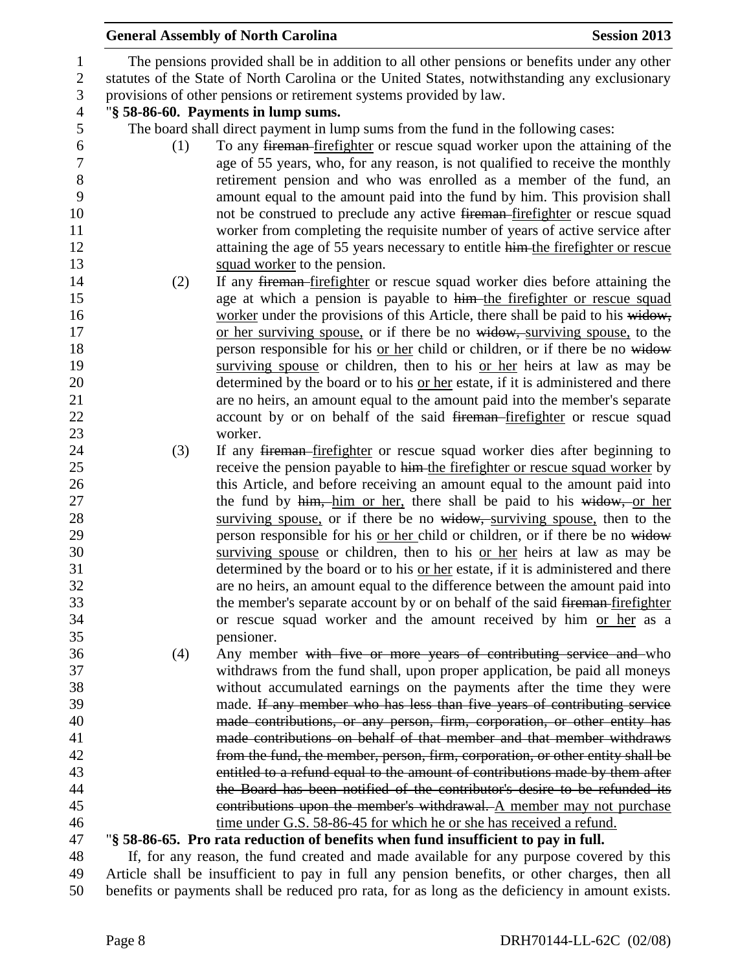|                  |     | <b>General Assembly of North Carolina</b><br><b>Session 2013</b>                               |  |
|------------------|-----|------------------------------------------------------------------------------------------------|--|
| $\mathbf{1}$     |     | The pensions provided shall be in addition to all other pensions or benefits under any other   |  |
| $\boldsymbol{2}$ |     | statutes of the State of North Carolina or the United States, notwithstanding any exclusionary |  |
| $\mathfrak{Z}$   |     | provisions of other pensions or retirement systems provided by law.                            |  |
| $\overline{4}$   |     | "§ 58-86-60. Payments in lump sums.                                                            |  |
| 5                |     | The board shall direct payment in lump sums from the fund in the following cases:              |  |
| 6                | (1) | To any fireman-firefighter or rescue squad worker upon the attaining of the                    |  |
| $\boldsymbol{7}$ |     | age of 55 years, who, for any reason, is not qualified to receive the monthly                  |  |
| $\,8\,$          |     | retirement pension and who was enrolled as a member of the fund, an                            |  |
| 9                |     | amount equal to the amount paid into the fund by him. This provision shall                     |  |
| 10               |     | not be construed to preclude any active fireman-firefighter or rescue squad                    |  |
| 11               |     | worker from completing the requisite number of years of active service after                   |  |
| 12               |     | attaining the age of 55 years necessary to entitle him-the firefighter or rescue               |  |
| 13               |     | squad worker to the pension.                                                                   |  |
| 14               | (2) | If any fireman-firefighter or rescue squad worker dies before attaining the                    |  |
| 15               |     | age at which a pension is payable to him the firefighter or rescue squad                       |  |
| 16               |     | worker under the provisions of this Article, there shall be paid to his widow,                 |  |
| 17               |     | or her surviving spouse, or if there be no widow, surviving spouse, to the                     |  |
| 18               |     | person responsible for his or her child or children, or if there be no widow                   |  |
| 19               |     | surviving spouse or children, then to his or her heirs at law as may be                        |  |
| 20               |     | determined by the board or to his or her estate, if it is administered and there               |  |
| 21               |     | are no heirs, an amount equal to the amount paid into the member's separate                    |  |
| 22               |     | account by or on behalf of the said fireman-firefighter or rescue squad                        |  |
| 23               |     | worker.                                                                                        |  |
| 24               | (3) | If any fireman-firefighter or rescue squad worker dies after beginning to                      |  |
| 25               |     | receive the pension payable to him-the firefighter or rescue squad worker by                   |  |
| 26               |     | this Article, and before receiving an amount equal to the amount paid into                     |  |
| 27               |     | the fund by him, him or her, there shall be paid to his widow, or her                          |  |
| 28               |     | surviving spouse, or if there be no widow, surviving spouse, then to the                       |  |
| 29               |     | person responsible for his <u>or her child</u> or children, or if there be no widow            |  |
| 30               |     | surviving spouse or children, then to his or her heirs at law as may be                        |  |
| 31               |     | determined by the board or to his or her estate, if it is administered and there               |  |
| 32               |     | are no heirs, an amount equal to the difference between the amount paid into                   |  |
| 33               |     | the member's separate account by or on behalf of the said fireman-firefighter                  |  |
| 34               |     | or rescue squad worker and the amount received by him or her as a                              |  |
| 35               |     | pensioner.                                                                                     |  |
| 36               | (4) | Any member with five or more years of contributing service and who                             |  |
| 37               |     | withdraws from the fund shall, upon proper application, be paid all moneys                     |  |
| 38               |     | without accumulated earnings on the payments after the time they were                          |  |
| 39               |     | made. If any member who has less than five years of contributing service                       |  |
| 40               |     | made contributions, or any person, firm, corporation, or other entity has                      |  |
| 41               |     | made contributions on behalf of that member and that member withdraws                          |  |
| 42               |     | from the fund, the member, person, firm, corporation, or other entity shall be                 |  |
| 43               |     | entitled to a refund equal to the amount of contributions made by them after                   |  |
| 44               |     | the Board has been notified of the contributor's desire to be refunded its                     |  |
| 45               |     | contributions upon the member's withdrawal. A member may not purchase                          |  |
| 46               |     | time under G.S. 58-86-45 for which he or she has received a refund.                            |  |
| 47               |     | "\\$58-86-65. Pro rata reduction of benefits when fund insufficient to pay in full.            |  |
| 48               |     | If, for any reason, the fund created and made available for any purpose covered by this        |  |
| 49               |     | Article shall be insufficient to pay in full any pension benefits, or other charges, then all  |  |

benefits or payments shall be reduced pro rata, for as long as the deficiency in amount exists.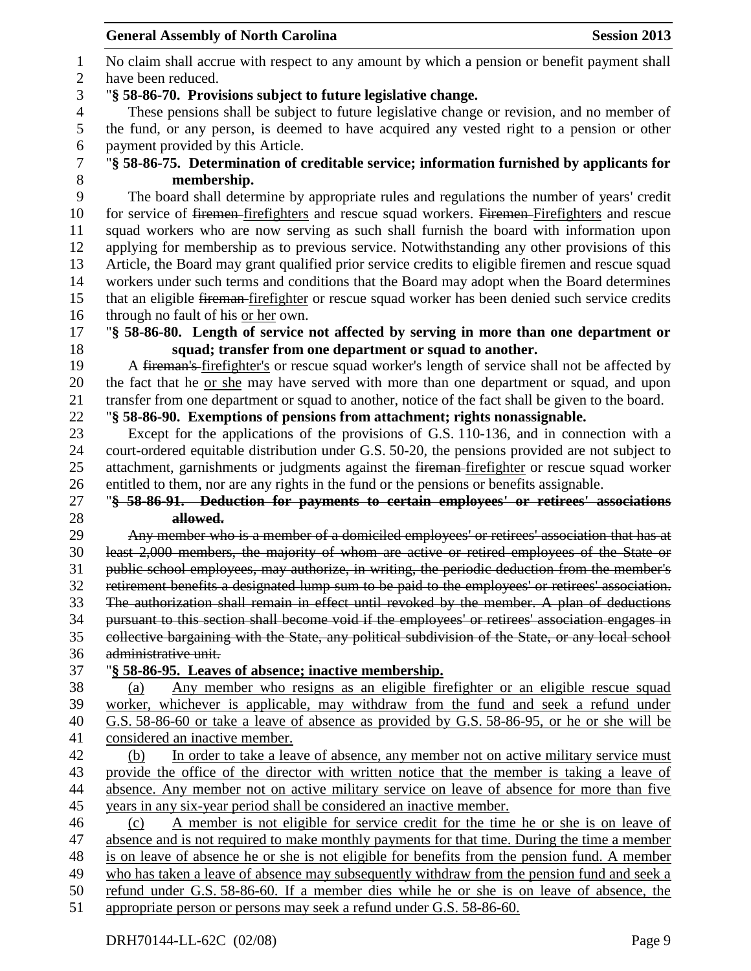**General Assembly of North Carolina Session 2013** No claim shall accrue with respect to any amount by which a pension or benefit payment shall have been reduced. "**§ 58-86-70. Provisions subject to future legislative change.** These pensions shall be subject to future legislative change or revision, and no member of the fund, or any person, is deemed to have acquired any vested right to a pension or other 6 payment provided by this Article.<br>7 "§ 58-86-75. Determination of c "**§ 58-86-75. Determination of creditable service; information furnished by applicants for membership.** The board shall determine by appropriate rules and regulations the number of years' credit 10 for service of firemen-firefighters and rescue squad workers. Firemen-Firefighters and rescue squad workers who are now serving as such shall furnish the board with information upon applying for membership as to previous service. Notwithstanding any other provisions of this Article, the Board may grant qualified prior service credits to eligible firemen and rescue squad workers under such terms and conditions that the Board may adopt when the Board determines 15 that an eligible fireman-firefighter or rescue squad worker has been denied such service credits through no fault of his or her own. "**§ 58-86-80. Length of service not affected by serving in more than one department or squad; transfer from one department or squad to another.** A fireman's firefighter's or rescue squad worker's length of service shall not be affected by the fact that he or she may have served with more than one department or squad, and upon transfer from one department or squad to another, notice of the fact shall be given to the board. "**§ 58-86-90. Exemptions of pensions from attachment; rights nonassignable.** Except for the applications of the provisions of G.S. 110-136, and in connection with a court-ordered equitable distribution under G.S. 50-20, the pensions provided are not subject to 25 attachment, garnishments or judgments against the <del>fireman</del>-firefighter or rescue squad worker entitled to them, nor are any rights in the fund or the pensions or benefits assignable. "**§ 58-86-91. Deduction for payments to certain employees' or retirees' associations allowed.** Any member who is a member of a domiciled employees' or retirees' association that has at least 2,000 members, the majority of whom are active or retired employees of the State or public school employees, may authorize, in writing, the periodic deduction from the member's retirement benefits a designated lump sum to be paid to the employees' or retirees' association. The authorization shall remain in effect until revoked by the member. A plan of deductions pursuant to this section shall become void if the employees' or retirees' association engages in collective bargaining with the State, any political subdivision of the State, or any local school administrative unit. "**§ 58-86-95. Leaves of absence; inactive membership.** (a) Any member who resigns as an eligible firefighter or an eligible rescue squad worker, whichever is applicable, may withdraw from the fund and seek a refund under G.S. 58-86-60 or take a leave of absence as provided by G.S. 58-86-95, or he or she will be considered an inactive member. (b) In order to take a leave of absence, any member not on active military service must provide the office of the director with written notice that the member is taking a leave of 44 absence. Any member not on active military service on leave of absence for more than five years in any six-year period shall be considered an inactive member. (c) A member is not eligible for service credit for the time he or she is on leave of absence and is not required to make monthly payments for that time. During the time a member is on leave of absence he or she is not eligible for benefits from the pension fund. A member who has taken a leave of absence may subsequently withdraw from the pension fund and seek a

refund under G.S. 58-86-60. If a member dies while he or she is on leave of absence, the

appropriate person or persons may seek a refund under G.S. 58-86-60.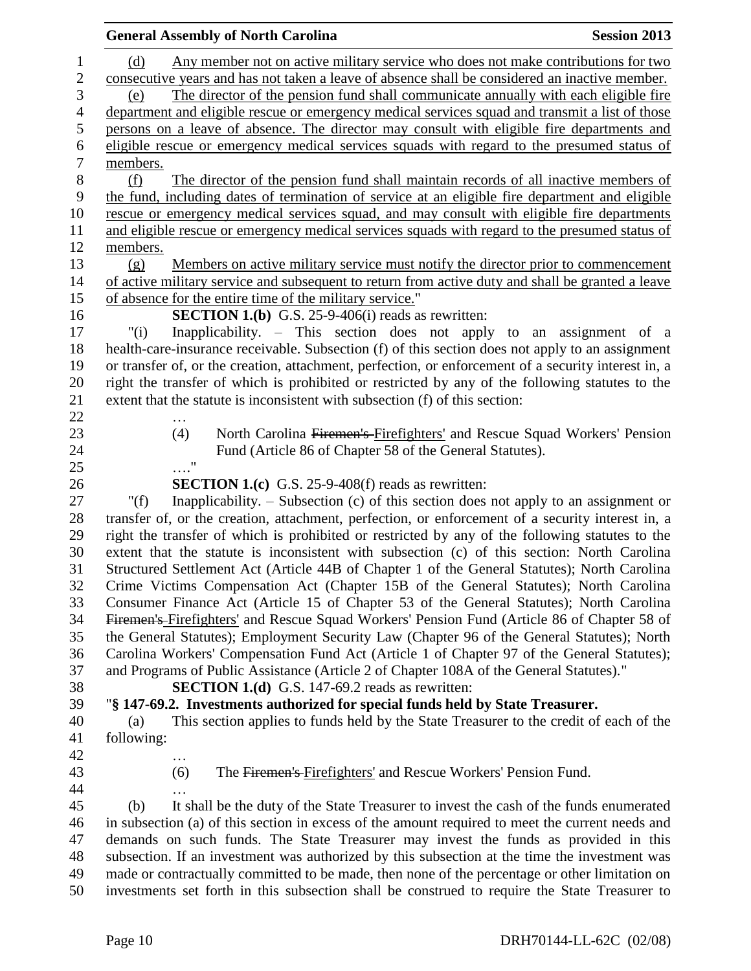|                                     | <b>General Assembly of North Carolina</b>                                                                                                                                                     | <b>Session 2013</b> |
|-------------------------------------|-----------------------------------------------------------------------------------------------------------------------------------------------------------------------------------------------|---------------------|
| $\mathbf{1}$<br>$\overline{c}$<br>3 | Any member not on active military service who does not make contributions for two<br>(d)<br>consecutive years and has not taken a leave of absence shall be considered an inactive member.    |                     |
| 4                                   | The director of the pension fund shall communicate annually with each eligible fire<br>(e)<br>department and eligible rescue or emergency medical services squad and transmit a list of those |                     |
| 5                                   | persons on a leave of absence. The director may consult with eligible fire departments and                                                                                                    |                     |
| 6                                   | eligible rescue or emergency medical services squads with regard to the presumed status of                                                                                                    |                     |
| $\sqrt{ }$                          | members.                                                                                                                                                                                      |                     |
| 8                                   | The director of the pension fund shall maintain records of all inactive members of<br>(f)                                                                                                     |                     |
| 9                                   | the fund, including dates of termination of service at an eligible fire department and eligible                                                                                               |                     |
| 10                                  | rescue or emergency medical services squad, and may consult with eligible fire departments                                                                                                    |                     |
| 11                                  | and eligible rescue or emergency medical services squads with regard to the presumed status of                                                                                                |                     |
| 12                                  | members.                                                                                                                                                                                      |                     |
| 13                                  | Members on active military service must notify the director prior to commencement<br>(g)                                                                                                      |                     |
| 14                                  | of active military service and subsequent to return from active duty and shall be granted a leave                                                                                             |                     |
| 15                                  | of absence for the entire time of the military service."                                                                                                                                      |                     |
| 16                                  | <b>SECTION 1.(b)</b> G.S. $25-9-406(i)$ reads as rewritten:                                                                                                                                   |                     |
| 17                                  | "(i)<br>Inapplicability. – This section does not apply to an assignment of a                                                                                                                  |                     |
| 18                                  | health-care-insurance receivable. Subsection (f) of this section does not apply to an assignment                                                                                              |                     |
| 19                                  | or transfer of, or the creation, attachment, perfection, or enforcement of a security interest in, a                                                                                          |                     |
| 20                                  | right the transfer of which is prohibited or restricted by any of the following statutes to the                                                                                               |                     |
| 21                                  | extent that the statute is inconsistent with subsection (f) of this section:                                                                                                                  |                     |
| 22                                  |                                                                                                                                                                                               |                     |
| 23                                  | North Carolina Firemen's Firefighters' and Rescue Squad Workers' Pension<br>(4)                                                                                                               |                     |
| 24                                  | Fund (Article 86 of Chapter 58 of the General Statutes).                                                                                                                                      |                     |
| 25                                  | $\ldots \overset{0}{\cdot}$                                                                                                                                                                   |                     |
| 26                                  | <b>SECTION 1.(c)</b> G.S. 25-9-408(f) reads as rewritten:                                                                                                                                     |                     |
| 27                                  | Inapplicability. $-$ Subsection (c) of this section does not apply to an assignment or<br>" $(f)$                                                                                             |                     |
| 28                                  | transfer of, or the creation, attachment, perfection, or enforcement of a security interest in, a                                                                                             |                     |
| 29                                  | right the transfer of which is prohibited or restricted by any of the following statutes to the                                                                                               |                     |
| 30                                  | extent that the statute is inconsistent with subsection (c) of this section: North Carolina                                                                                                   |                     |
| 31                                  | Structured Settlement Act (Article 44B of Chapter 1 of the General Statutes); North Carolina                                                                                                  |                     |
| 32                                  | Crime Victims Compensation Act (Chapter 15B of the General Statutes); North Carolina                                                                                                          |                     |
| 33                                  | Consumer Finance Act (Article 15 of Chapter 53 of the General Statutes); North Carolina                                                                                                       |                     |
| 34<br>35                            | Firemen's Firefighters' and Rescue Squad Workers' Pension Fund (Article 86 of Chapter 58 of                                                                                                   |                     |
| 36                                  | the General Statutes); Employment Security Law (Chapter 96 of the General Statutes); North<br>Carolina Workers' Compensation Fund Act (Article 1 of Chapter 97 of the General Statutes);      |                     |
| 37                                  | and Programs of Public Assistance (Article 2 of Chapter 108A of the General Statutes)."                                                                                                       |                     |
| 38                                  | <b>SECTION 1.(d)</b> G.S. 147-69.2 reads as rewritten:                                                                                                                                        |                     |
| 39                                  | "§ 147-69.2. Investments authorized for special funds held by State Treasurer.                                                                                                                |                     |
| 40                                  | This section applies to funds held by the State Treasurer to the credit of each of the<br>(a)                                                                                                 |                     |
| 41                                  | following:                                                                                                                                                                                    |                     |
| 42                                  |                                                                                                                                                                                               |                     |
| 43                                  | The Firemen's Firefighters' and Rescue Workers' Pension Fund.<br>(6)                                                                                                                          |                     |
| 44                                  |                                                                                                                                                                                               |                     |
| 45                                  | It shall be the duty of the State Treasurer to invest the cash of the funds enumerated<br>(b)                                                                                                 |                     |
| 46                                  | in subsection (a) of this section in excess of the amount required to meet the current needs and                                                                                              |                     |
| 47                                  | demands on such funds. The State Treasurer may invest the funds as provided in this                                                                                                           |                     |
| 48                                  | subsection. If an investment was authorized by this subsection at the time the investment was                                                                                                 |                     |
| 49                                  | made or contractually committed to be made, then none of the percentage or other limitation on                                                                                                |                     |

investments set forth in this subsection shall be construed to require the State Treasurer to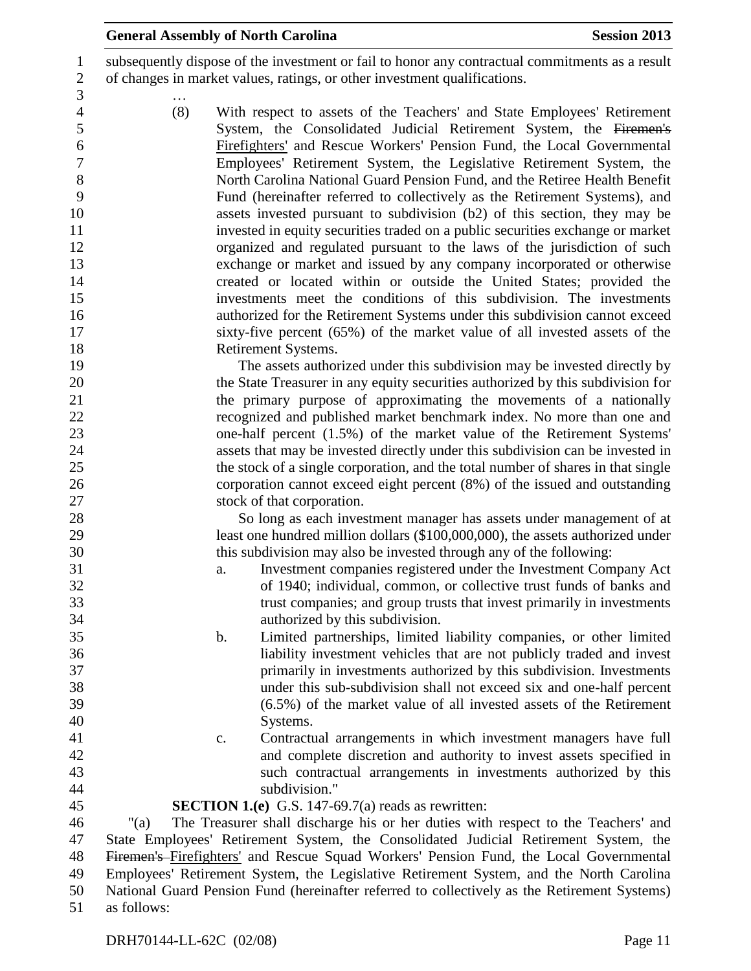subsequently dispose of the investment or fail to honor any contractual commitments as a result of changes in market values, ratings, or other investment qualifications.

 … (8) With respect to assets of the Teachers' and State Employees' Retirement System, the Consolidated Judicial Retirement System, the Firemen's Firefighters' and Rescue Workers' Pension Fund, the Local Governmental Employees' Retirement System, the Legislative Retirement System, the North Carolina National Guard Pension Fund, and the Retiree Health Benefit Fund (hereinafter referred to collectively as the Retirement Systems), and assets invested pursuant to subdivision (b2) of this section, they may be invested in equity securities traded on a public securities exchange or market organized and regulated pursuant to the laws of the jurisdiction of such exchange or market and issued by any company incorporated or otherwise created or located within or outside the United States; provided the investments meet the conditions of this subdivision. The investments authorized for the Retirement Systems under this subdivision cannot exceed sixty-five percent (65%) of the market value of all invested assets of the Retirement Systems.

 The assets authorized under this subdivision may be invested directly by the State Treasurer in any equity securities authorized by this subdivision for the primary purpose of approximating the movements of a nationally recognized and published market benchmark index. No more than one and one-half percent (1.5%) of the market value of the Retirement Systems' assets that may be invested directly under this subdivision can be invested in the stock of a single corporation, and the total number of shares in that single corporation cannot exceed eight percent (8%) of the issued and outstanding stock of that corporation.

 So long as each investment manager has assets under management of at least one hundred million dollars (\$100,000,000), the assets authorized under this subdivision may also be invested through any of the following:

- a. Investment companies registered under the Investment Company Act of 1940; individual, common, or collective trust funds of banks and trust companies; and group trusts that invest primarily in investments authorized by this subdivision.
- b. Limited partnerships, limited liability companies, or other limited liability investment vehicles that are not publicly traded and invest primarily in investments authorized by this subdivision. Investments under this sub-subdivision shall not exceed six and one-half percent (6.5%) of the market value of all invested assets of the Retirement Systems.
	-
- c. Contractual arrangements in which investment managers have full and complete discretion and authority to invest assets specified in such contractual arrangements in investments authorized by this subdivision."

#### **SECTION 1.(e)** G.S. 147-69.7(a) reads as rewritten:

 "(a) The Treasurer shall discharge his or her duties with respect to the Teachers' and State Employees' Retirement System, the Consolidated Judicial Retirement System, the Firemen's Firefighters' and Rescue Squad Workers' Pension Fund, the Local Governmental Employees' Retirement System, the Legislative Retirement System, and the North Carolina National Guard Pension Fund (hereinafter referred to collectively as the Retirement Systems) as follows: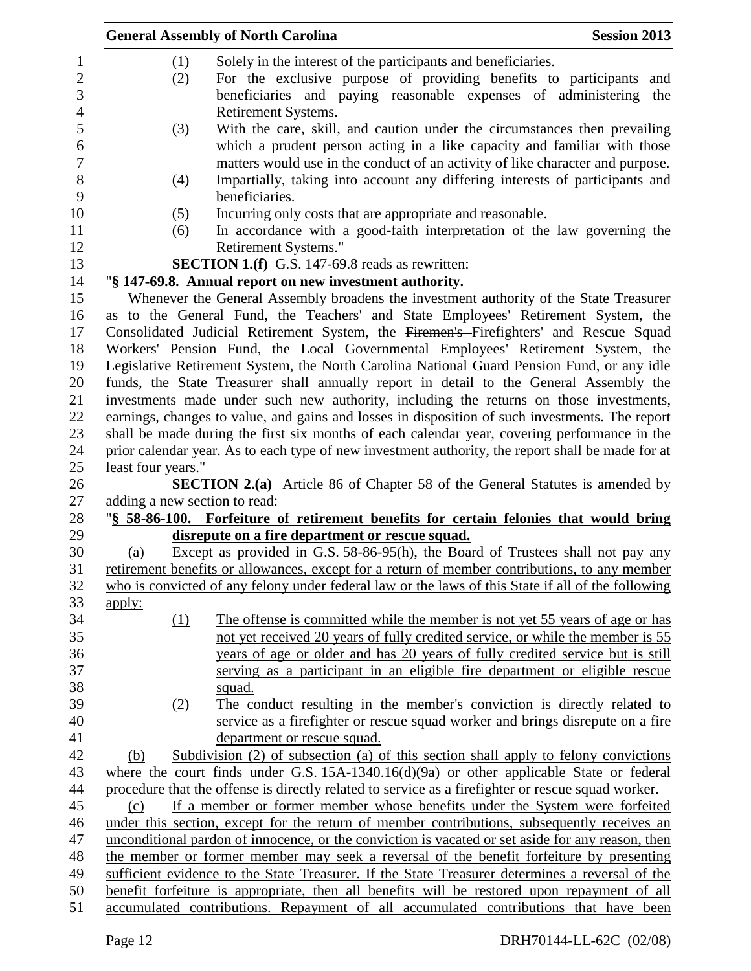|                               | <b>General Assembly of North Carolina</b>                                                          | <b>Session 2013</b> |
|-------------------------------|----------------------------------------------------------------------------------------------------|---------------------|
| (1)                           | Solely in the interest of the participants and beneficiaries.                                      |                     |
| (2)                           | For the exclusive purpose of providing benefits to participants and                                |                     |
|                               | beneficiaries and paying reasonable expenses of administering the                                  |                     |
|                               | Retirement Systems.                                                                                |                     |
| (3)                           | With the care, skill, and caution under the circumstances then prevailing                          |                     |
|                               | which a prudent person acting in a like capacity and familiar with those                           |                     |
|                               | matters would use in the conduct of an activity of like character and purpose.                     |                     |
| (4)                           | Impartially, taking into account any differing interests of participants and<br>beneficiaries.     |                     |
| (5)                           | Incurring only costs that are appropriate and reasonable.                                          |                     |
| (6)                           | In accordance with a good-faith interpretation of the law governing the<br>Retirement Systems."    |                     |
|                               | SECTION 1.(f) G.S. 147-69.8 reads as rewritten:                                                    |                     |
|                               | "§ 147-69.8. Annual report on new investment authority.                                            |                     |
|                               | Whenever the General Assembly broadens the investment authority of the State Treasurer             |                     |
|                               | as to the General Fund, the Teachers' and State Employees' Retirement System, the                  |                     |
|                               | Consolidated Judicial Retirement System, the Firemen's Firefighters' and Rescue Squad              |                     |
|                               | Workers' Pension Fund, the Local Governmental Employees' Retirement System, the                    |                     |
|                               | Legislative Retirement System, the North Carolina National Guard Pension Fund, or any idle         |                     |
|                               | funds, the State Treasurer shall annually report in detail to the General Assembly the             |                     |
|                               | investments made under such new authority, including the returns on those investments,             |                     |
|                               | earnings, changes to value, and gains and losses in disposition of such investments. The report    |                     |
|                               | shall be made during the first six months of each calendar year, covering performance in the       |                     |
|                               | prior calendar year. As to each type of new investment authority, the report shall be made for at  |                     |
| least four years."            |                                                                                                    |                     |
|                               | <b>SECTION 2.(a)</b> Article 86 of Chapter 58 of the General Statutes is amended by                |                     |
| adding a new section to read: |                                                                                                    |                     |
|                               | "§ 58-86-100. Forfeiture of retirement benefits for certain felonies that would bring              |                     |
|                               | disrepute on a fire department or rescue squad.                                                    |                     |
| (a)                           | Except as provided in G.S. 58-86-95(h), the Board of Trustees shall not pay any                    |                     |
|                               | retirement benefits or allowances, except for a return of member contributions, to any member      |                     |
|                               | who is convicted of any felony under federal law or the laws of this State if all of the following |                     |
| <u>apply:</u>                 | The offense is committed while the member is not yet 55 years of age or has                        |                     |
| (1)                           | not yet received 20 years of fully credited service, or while the member is 55                     |                     |
|                               | years of age or older and has 20 years of fully credited service but is still                      |                     |
|                               | serving as a participant in an eligible fire department or eligible rescue                         |                     |
|                               | squad.                                                                                             |                     |
| (2)                           | The conduct resulting in the member's conviction is directly related to                            |                     |
|                               | service as a firefighter or rescue squad worker and brings disrepute on a fire                     |                     |
|                               | department or rescue squad.                                                                        |                     |
| (b)                           | Subdivision (2) of subsection (a) of this section shall apply to felony convictions                |                     |
|                               | where the court finds under G.S. $15A-1340.16(d)(9a)$ or other applicable State or federal         |                     |
|                               | procedure that the offense is directly related to service as a firefighter or rescue squad worker. |                     |
| (c)                           | If a member or former member whose benefits under the System were forfeited                        |                     |
|                               | under this section, except for the return of member contributions, subsequently receives an        |                     |
|                               | unconditional pardon of innocence, or the conviction is vacated or set aside for any reason, then  |                     |
|                               | the member or former member may seek a reversal of the benefit forfeiture by presenting            |                     |
|                               | sufficient evidence to the State Treasurer. If the State Treasurer determines a reversal of the    |                     |
|                               | benefit forfeiture is appropriate, then all benefits will be restored upon repayment of all        |                     |
|                               | accumulated contributions. Repayment of all accumulated contributions that have been               |                     |